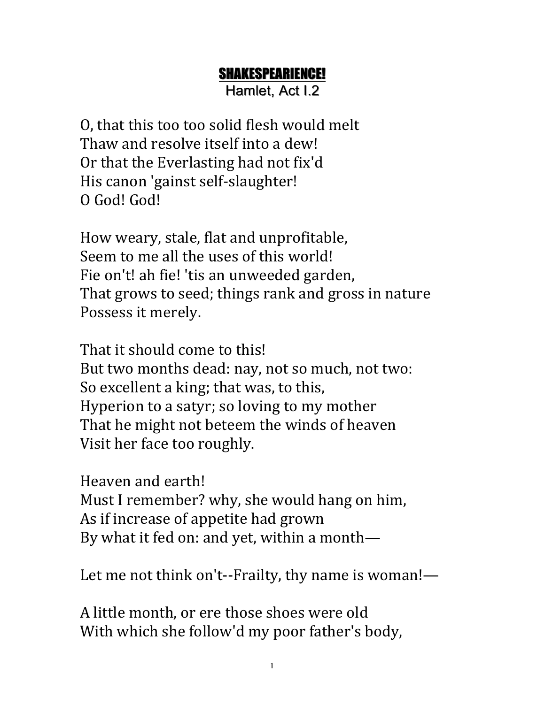## SHAKESPEARIENCE!

Hamlet, Act I.2

O, that this too too solid flesh would melt Thaw and resolve itself into a dew! Or that the Everlasting had not fix'd His canon 'gainst self-slaughter! O God! God!

How weary, stale, flat and unprofitable, Seem to me all the uses of this world! Fie on't! ah fie! 'tis an unweeded garden, That grows to seed; things rank and gross in nature Possess it merely.

That it should come to this! But two months dead: nay, not so much, not two: So excellent a king; that was, to this, Hyperion to a satyr; so loving to my mother That he might not beteem the winds of heaven Visit her face too roughly.

Heaven and earth!

Must I remember? why, she would hang on him, As if increase of appetite had grown By what it fed on: and yet, within a month—

Let me not think on't--Frailty, thy name is woman!-

A little month, or ere those shoes were old With which she follow'd my poor father's body,